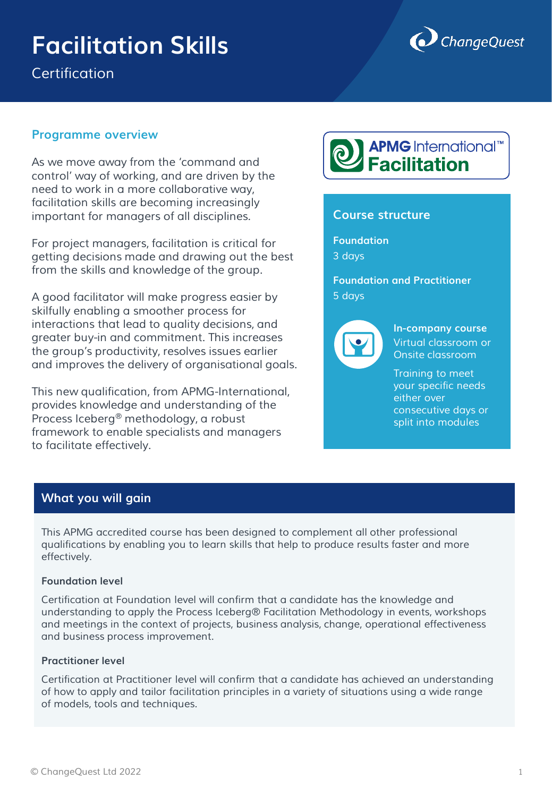# **Facilitation Skills**

*Certification*



## **Programme overview**

*As we move away from the 'command and control' way of working, and are driven by the need to work in a more collaborative way, facilitation skills are becoming increasingly important for managers of all disciplines.* 

*For project managers, facilitation is critical for getting decisions made and drawing out the best from the skills and knowledge of the group.*

*A good facilitator will make progress easier by skilfully enabling a smoother process for interactions that lead to quality decisions, and greater buy-in and commitment. This increases the group's productivity, resolves issues earlier and improves the delivery of organisational goals.*

*This new qualification, from APMG-International, provides knowledge and understanding of the Process Iceberg® methodology, a robust framework to enable specialists and managers to facilitate effectively.*



## **Course structure**

**Foundation**  *3 days*

**Foundation and Practitioner**  *5 days*



**In-company course** *Virtual classroom or Onsite classroom*

*Training to meet your specific needs either over consecutive days or split into modules*

# **What you will gain**

This APMG accredited course has been designed to complement all other professional *qualifications by enabling you to learn skills that help to produce results faster and more effectively.*

#### **Foundation level**

*Certification at Foundation level will confirm that a candidate has the knowledge and understanding to apply the Process Iceberg® Facilitation Methodology in events, workshops and meetings in the context of projects, business analysis, change, operational effectiveness and business process improvement.*

#### **Practitioner level**

*Certification at Practitioner level will confirm that a candidate has achieved an understanding of how to apply and tailor facilitation principles in a variety of situations using a wide range of models, tools and techniques.*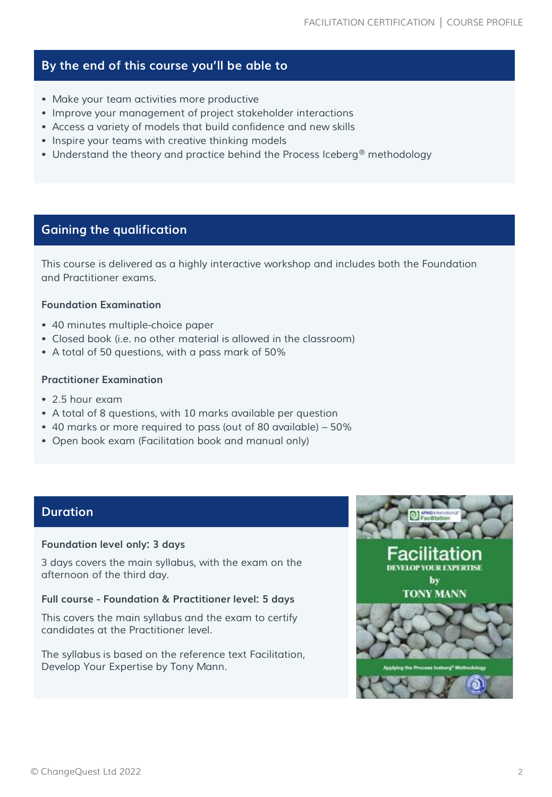# **By the end of this course you'll be able to**

- *Make your team activities more productive*
- *Improve your management of project stakeholder interactions*
- *Access a variety of models that build confidence and new skills*
- *Inspire your teams with creative thinking models*
- *Understand the theory and practice behind the Process Iceberg® methodology*

# **Gaining the qualification**

*This course is delivered as a highly interactive workshop and includes both the Foundation and Practitioner exams.*

#### **Foundation Examination**

- *40 minutes multiple-choice paper*
- *Closed book (i.e. no other material is allowed in the classroom)*
- *A total of 50 questions, with a pass mark of 50%*

#### **Practitioner Examination**

- *2.5 hour exam*
- *A total of 8 questions, with 10 marks available per question*
- *40 marks or more required to pass (out of 80 available) – 50%*
- *Open book exam (Facilitation book and manual only)*

## **Duration**

#### **Foundation level only: 3 days**

*3 days covers the main syllabus, with the exam on the afternoon of the third day.*

#### **Full course - Foundation & Practitioner level: 5 days**

*This covers the main syllabus and the exam to certify candidates at the Practitioner level.*

*The syllabus is based on the reference text Facilitation, Develop Your Expertise by Tony Mann.*

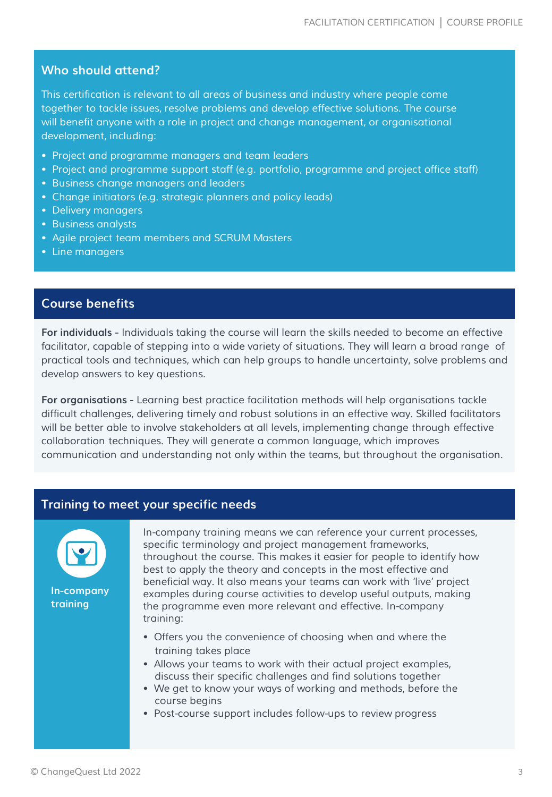## **Who should attend?**

*This certification is relevant to all areas of business and industry where people come together to tackle issues, resolve problems and develop effective solutions. The course*  will benefit anyone with a role in project and change management, or organisational *development, including:*

- *Project and programme managers and team leaders*
- *Project and programme support staff (e.g. portfolio, programme and project office staff)*
- *Business change managers and leaders*
- *Change initiators (e.g. strategic planners and policy leads)*
- *Delivery managers*
- *Business analysts*
- *Agile project team members and SCRUM Masters*
- *Line managers*

## **Course benefits**

**For individuals -** *Individuals taking the course will learn the skills needed to become an effective*  facilitator, capable of stepping into a wide variety of situations. They will learn a broad range of *practical tools and techniques, which can help groups to handle uncertainty, solve problems and develop answers to key questions.*

**For organisations -** *Learning best practice facilitation methods will help organisations tackle difficult challenges, delivering timely and robust solutions in an effective way. Skilled facilitators will be better able to involve stakeholders at all levels, implementing change through effective collaboration techniques. They will generate a common language, which improves communication and understanding not only within the teams, but throughout the organisation.*

## **Training to meet your specific needs**



*In-company training means we can reference your current processes, specific terminology and project management frameworks, throughout the course. This makes it easier for people to identify how best to apply the theory and concepts in the most effective and beneficial way. It also means your teams can work with 'live' project examples during course activities to develop useful outputs, making the programme even more relevant and effective. In-company training:*

- *Offers you the convenience of choosing when and where the training takes place*
- *Allows your teams to work with their actual project examples, discuss their specific challenges and find solutions together*
- *We get to know your ways of working and methods, before the course begins*
- *Post-course support includes follow-ups to review progress*